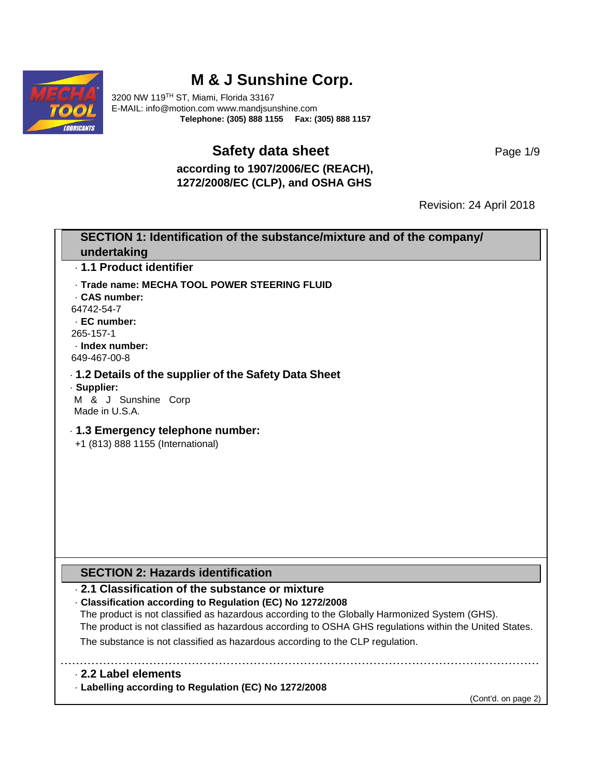

# **M & J Sunshine Corp.**

3200 NW 119TH ST, Miami, Florida 33167 E-MAIL: info@motion.com www.mandjsunshine.com **Telephone: (305) 888 1155 Fax: (305) 888 1157** 

### **Safety data sheet** Page 1/9

**according to 1907/2006/EC (REACH), 1272/2008/EC (CLP), and OSHA GHS** 

Revision: 24 April 2018

| SECTION 1: Identification of the substance/mixture and of the company/                                                                                                                                  |
|---------------------------------------------------------------------------------------------------------------------------------------------------------------------------------------------------------|
| undertaking                                                                                                                                                                                             |
| - 1.1 Product identifier                                                                                                                                                                                |
| - Trade name: MECHA TOOL POWER STEERING FLUID                                                                                                                                                           |
| . CAS number:                                                                                                                                                                                           |
| 64742-54-7<br>· EC number:                                                                                                                                                                              |
| 265-157-1                                                                                                                                                                                               |
| · Index number:                                                                                                                                                                                         |
| 649-467-00-8                                                                                                                                                                                            |
| . 1.2 Details of the supplier of the Safety Data Sheet                                                                                                                                                  |
| · Supplier:<br>M & J Sunshine Corp                                                                                                                                                                      |
| Made in U.S.A.                                                                                                                                                                                          |
| - 1.3 Emergency telephone number:<br>+1 (813) 888 1155 (International)                                                                                                                                  |
| <b>SECTION 2: Hazards identification</b>                                                                                                                                                                |
| 2.1 Classification of the substance or mixture                                                                                                                                                          |
| - Classification according to Regulation (EC) No 1272/2008                                                                                                                                              |
| The product is not classified as hazardous according to the Globally Harmonized System (GHS).<br>The product is not classified as hazardous according to OSHA GHS regulations within the United States. |
| The substance is not classified as hazardous according to the CLP regulation.                                                                                                                           |
| 2.2 Label elements                                                                                                                                                                                      |
| - Labelling according to Regulation (EC) No 1272/2008                                                                                                                                                   |
| (Cont'd. on page 2)                                                                                                                                                                                     |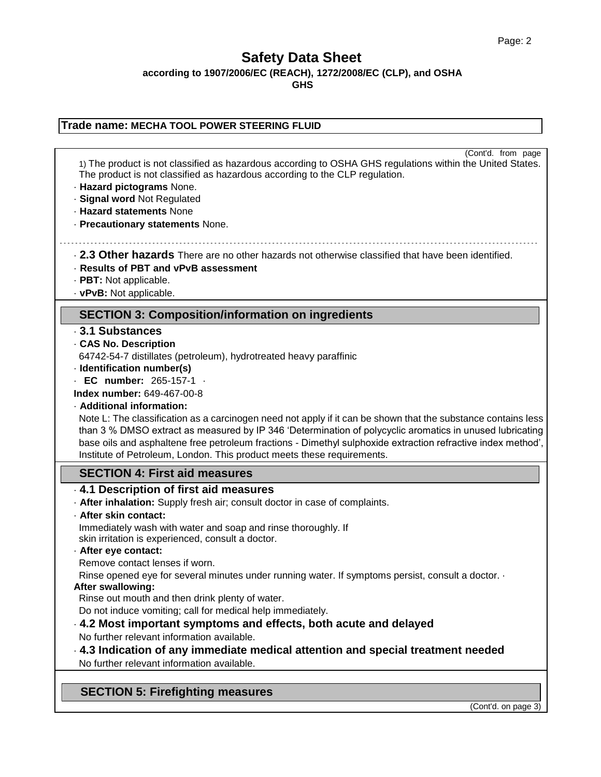**according to 1907/2006/EC (REACH), 1272/2008/EC (CLP), and OSHA** 

**GHS**

### **Trade name: MECHA TOOL POWER STEERING FLUID** (Cont'd. from page 1) The product is not classified as hazardous according to OSHA GHS regulations within the United States. The product is not classified as hazardous according to the CLP regulation. · **Hazard pictograms** None. · **Signal word** Not Regulated · **Hazard statements** None · **Precautionary statements** None. · **2.3 Other hazards** There are no other hazards not otherwise classified that have been identified. · **Results of PBT and vPvB assessment**  · **PBT:** Not applicable. · **vPvB:** Not applicable. **SECTION 3: Composition/information on ingredients** · **3.1 Substances** · **CAS No. Description** 64742-54-7 distillates (petroleum), hydrotreated heavy paraffinic · **Identification number(s)** · **EC number:** 265-157-1 · **Index number:** 649-467-00-8 · **Additional information:** Note L: The classification as a carcinogen need not apply if it can be shown that the substance contains less than 3 % DMSO extract as measured by IP 346 'Determination of polycyclic aromatics in unused lubricating base oils and asphaltene free petroleum fractions - Dimethyl sulphoxide extraction refractive index method', Institute of Petroleum, London. This product meets these requirements. **SECTION 4: First aid measures** · **4.1 Description of first aid measures** · **After inhalation:** Supply fresh air; consult doctor in case of complaints. · **After skin contact:** Immediately wash with water and soap and rinse thoroughly. If skin irritation is experienced, consult a doctor. · **After eye contact:** Remove contact lenses if worn. Rinse opened eye for several minutes under running water. If symptoms persist, consult a doctor. · **After swallowing:** Rinse out mouth and then drink plenty of water. Do not induce vomiting; call for medical help immediately. · **4.2 Most important symptoms and effects, both acute and delayed** No further relevant information available. · **4.3 Indication of any immediate medical attention and special treatment needed** No further relevant information available. **SECTION 5: Firefighting measures**

(Cont'd. on page 3)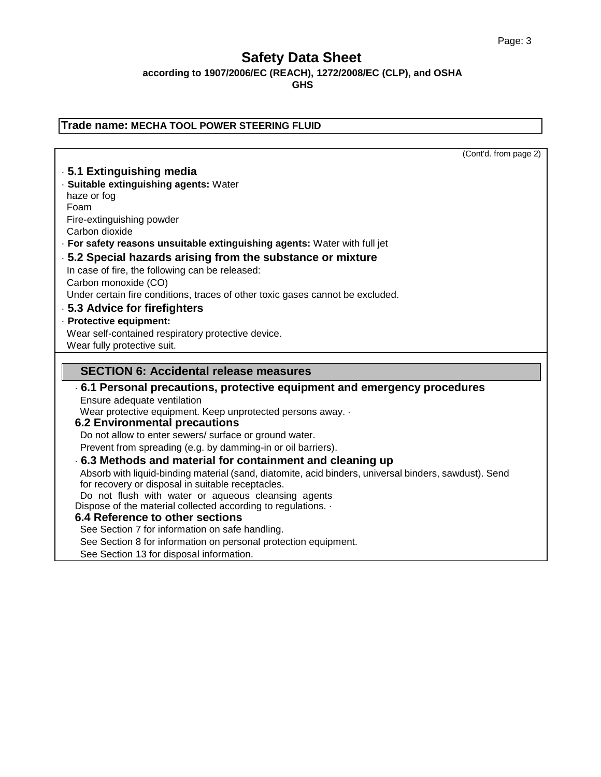٦

## **Safety Data Sheet**

**according to 1907/2006/EC (REACH), 1272/2008/EC (CLP), and OSHA** 

| Trade name: MECHA TOOL POWER STEERING FLUID                                                           |
|-------------------------------------------------------------------------------------------------------|
|                                                                                                       |
| (Cont'd. from page 2)                                                                                 |
| .5.1 Extinguishing media                                                                              |
| · Suitable extinguishing agents: Water                                                                |
| haze or fog                                                                                           |
| Foam                                                                                                  |
| Fire-extinguishing powder                                                                             |
| Carbon dioxide                                                                                        |
| · For safety reasons unsuitable extinguishing agents: Water with full jet                             |
| .5.2 Special hazards arising from the substance or mixture                                            |
| In case of fire, the following can be released:                                                       |
| Carbon monoxide (CO)                                                                                  |
| Under certain fire conditions, traces of other toxic gases cannot be excluded.                        |
| .5.3 Advice for firefighters                                                                          |
| · Protective equipment:                                                                               |
| Wear self-contained respiratory protective device.                                                    |
| Wear fully protective suit.                                                                           |
| <b>SECTION 6: Accidental release measures</b>                                                         |
| ⋅ 6.1 Personal precautions, protective equipment and emergency procedures                             |
| Ensure adequate ventilation                                                                           |
| Wear protective equipment. Keep unprotected persons away. .                                           |
| <b>6.2 Environmental precautions</b>                                                                  |
| Do not allow to enter sewers/ surface or ground water.                                                |
| Prevent from spreading (e.g. by damming-in or oil barriers).                                          |
| 6.3 Methods and material for containment and cleaning up                                              |
| Absorb with liquid-binding material (sand, diatomite, acid binders, universal binders, sawdust). Send |
| for recovery or disposal in suitable receptacles.                                                     |
| Do not flush with water or aqueous cleansing agents                                                   |
| Dispose of the material collected according to regulations. .                                         |
| 6.4 Reference to other sections                                                                       |
| See Section 7 for information on safe handling.                                                       |
| See Section 8 for information on personal protection equipment.                                       |
| See Section 13 for disposal information.                                                              |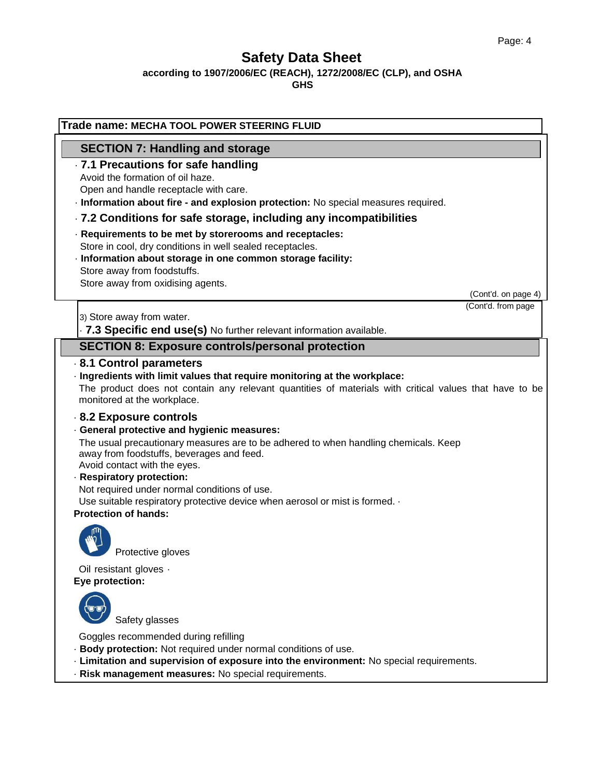**according to 1907/2006/EC (REACH), 1272/2008/EC (CLP), and OSHA** 

| Trade name: MECHA TOOL POWER STEERING FLUID                                                                                                                                                                                                                                                                                                                                                                 |                                           |
|-------------------------------------------------------------------------------------------------------------------------------------------------------------------------------------------------------------------------------------------------------------------------------------------------------------------------------------------------------------------------------------------------------------|-------------------------------------------|
| <b>SECTION 7: Handling and storage</b>                                                                                                                                                                                                                                                                                                                                                                      |                                           |
| .7.1 Precautions for safe handling<br>Avoid the formation of oil haze.                                                                                                                                                                                                                                                                                                                                      |                                           |
| Open and handle receptacle with care.                                                                                                                                                                                                                                                                                                                                                                       |                                           |
| · Information about fire - and explosion protection: No special measures required.                                                                                                                                                                                                                                                                                                                          |                                           |
| .7.2 Conditions for safe storage, including any incompatibilities                                                                                                                                                                                                                                                                                                                                           |                                           |
| · Requirements to be met by storerooms and receptacles:<br>Store in cool, dry conditions in well sealed receptacles.                                                                                                                                                                                                                                                                                        |                                           |
| · Information about storage in one common storage facility:<br>Store away from foodstuffs.                                                                                                                                                                                                                                                                                                                  |                                           |
| Store away from oxidising agents.                                                                                                                                                                                                                                                                                                                                                                           |                                           |
|                                                                                                                                                                                                                                                                                                                                                                                                             | (Cont'd. on page 4)<br>(Cont'd. from page |
| 3) Store away from water.                                                                                                                                                                                                                                                                                                                                                                                   |                                           |
| . 7.3 Specific end use(s) No further relevant information available.                                                                                                                                                                                                                                                                                                                                        |                                           |
| <b>SECTION 8: Exposure controls/personal protection</b>                                                                                                                                                                                                                                                                                                                                                     |                                           |
| 8.1 Control parameters<br>· Ingredients with limit values that require monitoring at the workplace:<br>The product does not contain any relevant quantities of materials with critical values that have to be<br>monitored at the workplace.<br>8.2 Exposure controls                                                                                                                                       |                                           |
| · General protective and hygienic measures:<br>The usual precautionary measures are to be adhered to when handling chemicals. Keep<br>away from foodstuffs, beverages and feed.<br>Avoid contact with the eyes.<br>· Respiratory protection:<br>Not required under normal conditions of use.<br>Use suitable respiratory protective device when aerosol or mist is formed. .<br><b>Protection of hands:</b> |                                           |
| Protective gloves                                                                                                                                                                                                                                                                                                                                                                                           |                                           |
| Oil resistant gloves -<br>Eye protection:                                                                                                                                                                                                                                                                                                                                                                   |                                           |
| Safety glasses                                                                                                                                                                                                                                                                                                                                                                                              |                                           |
| Goggles recommended during refilling<br>· Body protection: Not required under normal conditions of use.<br>- Limitation and supervision of exposure into the environment: No special requirements.<br>· Risk management measures: No special requirements.                                                                                                                                                  |                                           |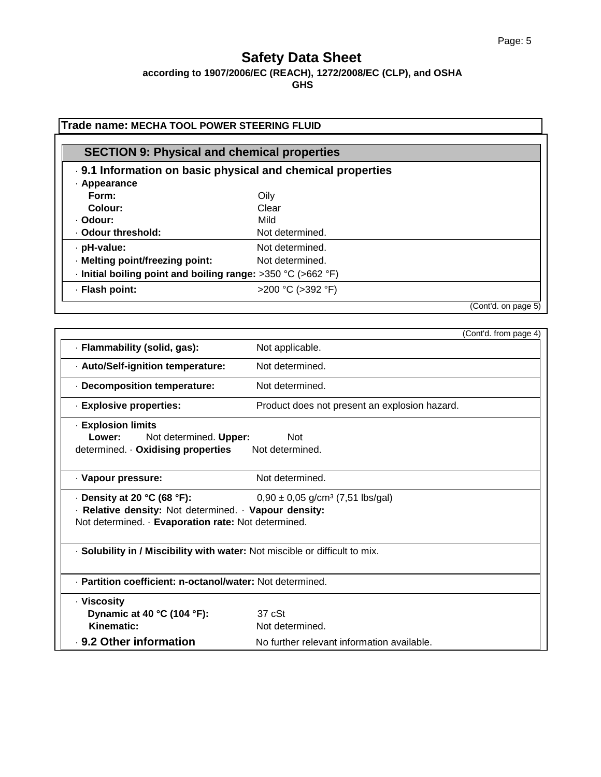**according to 1907/2006/EC (REACH), 1272/2008/EC (CLP), and OSHA** 

| <b>SECTION 9: Physical and chemical properties</b>                 |                   |  |
|--------------------------------------------------------------------|-------------------|--|
| . 9.1 Information on basic physical and chemical properties        |                   |  |
| · Appearance                                                       |                   |  |
| Form:                                                              | Oily              |  |
| Colour:                                                            | Clear             |  |
| · Odour:                                                           | Mild              |  |
| · Odour threshold:                                                 | Not determined.   |  |
| · pH-value:                                                        | Not determined.   |  |
| · Melting point/freezing point:                                    | Not determined.   |  |
| $\cdot$ Initial boiling point and boiling range: >350 °C (>662 °F) |                   |  |
| · Flash point:                                                     | >200 °C (>392 °F) |  |

|                                                                                                                                                   | (Cont'd. from page 4)                            |
|---------------------------------------------------------------------------------------------------------------------------------------------------|--------------------------------------------------|
| · Flammability (solid, gas):                                                                                                                      | Not applicable.                                  |
| - Auto/Self-ignition temperature:                                                                                                                 | Not determined.                                  |
| - Decomposition temperature:                                                                                                                      | Not determined.                                  |
| · Explosive properties:                                                                                                                           | Product does not present an explosion hazard.    |
| - Explosion limits<br>Lower:<br>Not determined. Upper:<br>determined. Oxidising properties Not determined.                                        | <b>Not</b>                                       |
| · Vapour pressure:                                                                                                                                | Not determined.                                  |
| $\cdot$ Density at 20 °C (68 °F):<br>· Relative density: Not determined. · Vapour density:<br>Not determined. · Evaporation rate: Not determined. | $0,90 \pm 0,05$ g/cm <sup>3</sup> (7,51 lbs/gal) |
| · Solubility in / Miscibility with water: Not miscible or difficult to mix.                                                                       |                                                  |
| - Partition coefficient: n-octanol/water: Not determined.                                                                                         |                                                  |
| · Viscosity<br>Dynamic at 40 °C (104 °F):<br>Kinematic:                                                                                           | 37 <sub>c</sub> St<br>Not determined.            |
| . 9.2 Other information                                                                                                                           | No further relevant information available.       |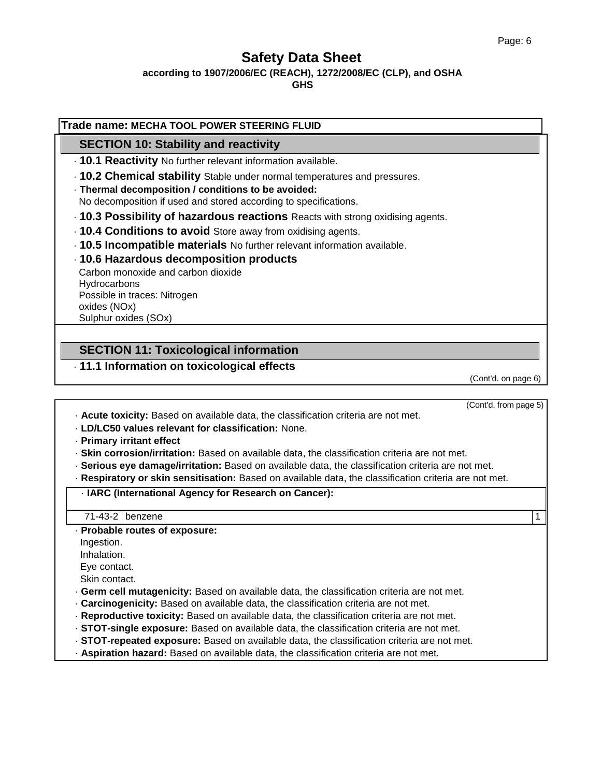(Cont'd. from page 5)

### **Safety Data Sheet**

#### **according to 1907/2006/EC (REACH), 1272/2008/EC (CLP), and OSHA**

**GHS**

### **Trade name: MECHA TOOL POWER STEERING FLUID SECTION 10: Stability and reactivity** · **10.1 Reactivity** No further relevant information available. · **10.2 Chemical stability** Stable under normal temperatures and pressures. · **Thermal decomposition / conditions to be avoided:** No decomposition if used and stored according to specifications. · **10.3 Possibility of hazardous reactions** Reacts with strong oxidising agents. · **10.4 Conditions to avoid** Store away from oxidising agents. · **10.5 Incompatible materials** No further relevant information available. · **10.6 Hazardous decomposition products** Carbon monoxide and carbon dioxide **Hydrocarbons** Possible in traces: Nitrogen oxides (NOx) Sulphur oxides (SOx) **SECTION 11: Toxicological information** · **11.1 Information on toxicological effects** (Cont'd. on page 6)

· **Acute toxicity:** Based on available data, the classification criteria are not met.

· **LD/LC50 values relevant for classification:** None.

· **Primary irritant effect**

· **Skin corrosion/irritation:** Based on available data, the classification criteria are not met.

- · **Serious eye damage/irritation:** Based on available data, the classification criteria are not met.
- · **Respiratory or skin sensitisation:** Based on available data, the classification criteria are not met.

#### · **IARC (International Agency for Research on Cancer):**

71-43-2 benzene 1

· **Probable routes of exposure:**

Ingestion.

Inhalation.

Eye contact.

Skin contact.

- · **Germ cell mutagenicity:** Based on available data, the classification criteria are not met.
- · **Carcinogenicity:** Based on available data, the classification criteria are not met.
- · **Reproductive toxicity:** Based on available data, the classification criteria are not met.
- · **STOT-single exposure:** Based on available data, the classification criteria are not met.
- · **STOT-repeated exposure:** Based on available data, the classification criteria are not met.
- · **Aspiration hazard:** Based on available data, the classification criteria are not met.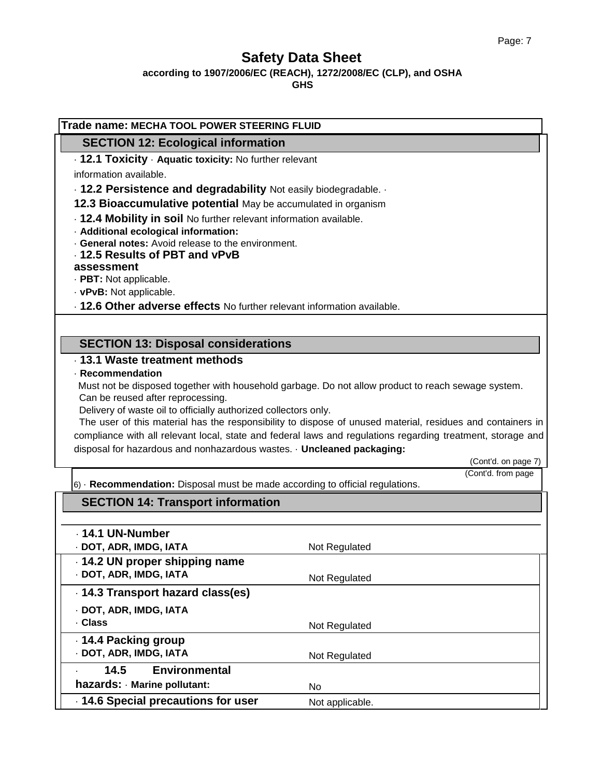**according to 1907/2006/EC (REACH), 1272/2008/EC (CLP), and OSHA** 

| <b>SECTION 12: Ecological information</b>                                                |                                                                                                             |
|------------------------------------------------------------------------------------------|-------------------------------------------------------------------------------------------------------------|
| . 12.1 Toxicity · Aquatic toxicity: No further relevant                                  |                                                                                                             |
| information available.                                                                   |                                                                                                             |
| . 12.2 Persistence and degradability Not easily biodegradable.                           |                                                                                                             |
| 12.3 Bioaccumulative potential May be accumulated in organism                            |                                                                                                             |
| . 12.4 Mobility in soil No further relevant information available.                       |                                                                                                             |
| · Additional ecological information:<br>General notes: Avoid release to the environment. |                                                                                                             |
| 12.5 Results of PBT and vPvB                                                             |                                                                                                             |
| assessment                                                                               |                                                                                                             |
| · PBT: Not applicable.                                                                   |                                                                                                             |
| · vPvB: Not applicable.                                                                  |                                                                                                             |
| . 12.6 Other adverse effects No further relevant information available.                  |                                                                                                             |
|                                                                                          |                                                                                                             |
| <b>SECTION 13: Disposal considerations</b>                                               |                                                                                                             |
| . 13.1 Waste treatment methods                                                           |                                                                                                             |
| · Recommendation                                                                         |                                                                                                             |
|                                                                                          | Must not be disposed together with household garbage. Do not allow product to reach sewage system.          |
| Can be reused after reprocessing.                                                        |                                                                                                             |
| Delivery of waste oil to officially authorized collectors only.                          |                                                                                                             |
|                                                                                          |                                                                                                             |
|                                                                                          | The user of this material has the responsibility to dispose of unused material, residues and containers in  |
|                                                                                          | compliance with all relevant local, state and federal laws and regulations regarding treatment, storage and |
| disposal for hazardous and nonhazardous wastes. · Uncleaned packaging:                   | (Cont'd. on page 7)                                                                                         |
|                                                                                          | (Cont'd. from page                                                                                          |
| $6)$ $\cdot$ Recommendation: Disposal must be made according to official regulations.    |                                                                                                             |
| <b>SECTION 14: Transport information</b>                                                 |                                                                                                             |
|                                                                                          |                                                                                                             |
| - 14.1 UN-Number                                                                         |                                                                                                             |
| · DOT, ADR, IMDG, IATA                                                                   | Not Regulated                                                                                               |
| - 14.2 UN proper shipping name                                                           |                                                                                                             |
| · DOT, ADR, IMDG, IATA                                                                   | Not Regulated                                                                                               |
| 14.3 Transport hazard class(es)                                                          |                                                                                                             |
| · DOT, ADR, IMDG, IATA                                                                   |                                                                                                             |
| . Class                                                                                  | Not Regulated                                                                                               |
| 14.4 Packing group                                                                       |                                                                                                             |
| · DOT, ADR, IMDG, IATA                                                                   | Not Regulated                                                                                               |
| 14.5<br><b>Environmental</b>                                                             |                                                                                                             |
| hazards: Marine pollutant:<br>14.6 Special precautions for user                          | No<br>Not applicable.                                                                                       |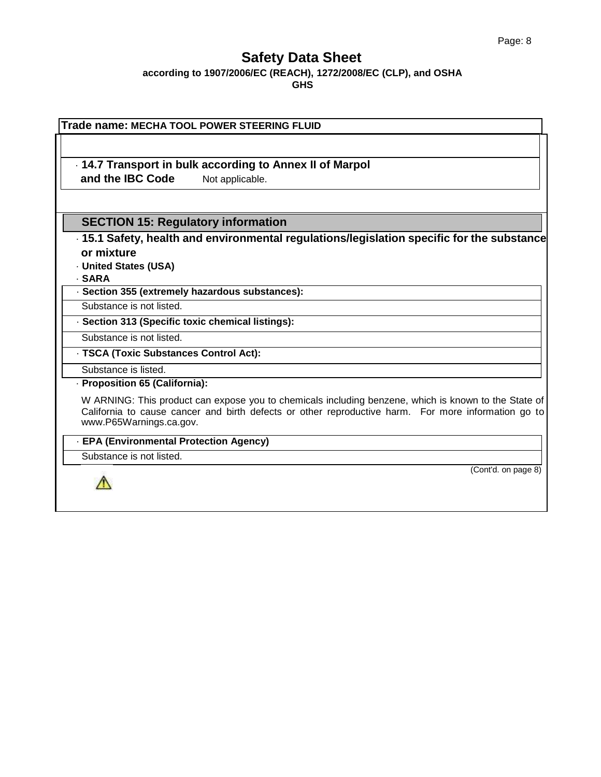**according to 1907/2006/EC (REACH), 1272/2008/EC (CLP), and OSHA GHS**

| Trade name: MECHA TOOL POWER STEERING FLUID                                                                                                                                                                                            |
|----------------------------------------------------------------------------------------------------------------------------------------------------------------------------------------------------------------------------------------|
| . 14.7 Transport in bulk according to Annex II of Marpol<br>and the IBC Code<br>Not applicable.                                                                                                                                        |
|                                                                                                                                                                                                                                        |
| <b>SECTION 15: Regulatory information</b>                                                                                                                                                                                              |
| 15.1 Safety, health and environmental regulations/legislation specific for the substance                                                                                                                                               |
| or mixture                                                                                                                                                                                                                             |
| <b>United States (USA)</b>                                                                                                                                                                                                             |
| <b>SARA</b>                                                                                                                                                                                                                            |
| · Section 355 (extremely hazardous substances):                                                                                                                                                                                        |
| Substance is not listed.                                                                                                                                                                                                               |
| · Section 313 (Specific toxic chemical listings):                                                                                                                                                                                      |
| Substance is not listed.                                                                                                                                                                                                               |
| - TSCA (Toxic Substances Control Act):                                                                                                                                                                                                 |
| Substance is listed.                                                                                                                                                                                                                   |
| · Proposition 65 (California):                                                                                                                                                                                                         |
| W ARNING: This product can expose you to chemicals including benzene, which is known to the State of<br>California to cause cancer and birth defects or other reproductive harm. For more information go to<br>www.P65Warnings.ca.gov. |
| - EPA (Environmental Protection Agency)                                                                                                                                                                                                |
| Substance is not listed.                                                                                                                                                                                                               |
| (Cont'd. on page 8)                                                                                                                                                                                                                    |

ı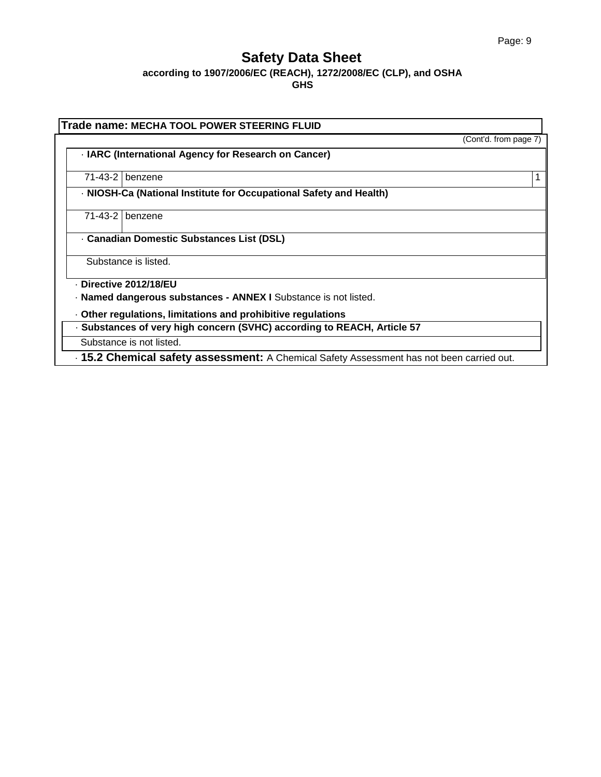**according to 1907/2006/EC (REACH), 1272/2008/EC (CLP), and OSHA GHS**

| Trade name: MECHA TOOL POWER STEERING FLUID                                               |                       |
|-------------------------------------------------------------------------------------------|-----------------------|
|                                                                                           | (Cont'd. from page 7) |
| - IARC (International Agency for Research on Cancer)                                      |                       |
| 71-43-2 benzene                                                                           |                       |
| - NIOSH-Ca (National Institute for Occupational Safety and Health)                        |                       |
| $71-43-2$ benzene                                                                         |                       |
| <b>Canadian Domestic Substances List (DSL)</b>                                            |                       |
| Substance is listed.                                                                      |                       |
| Directive 2012/18/EU                                                                      |                       |
| · Named dangerous substances - ANNEX I Substance is not listed.                           |                       |
| Other regulations, limitations and prohibitive regulations                                |                       |
| · Substances of very high concern (SVHC) according to REACH, Article 57                   |                       |
| Substance is not listed.                                                                  |                       |
| . 15.2 Chemical safety assessment: A Chemical Safety Assessment has not been carried out. |                       |